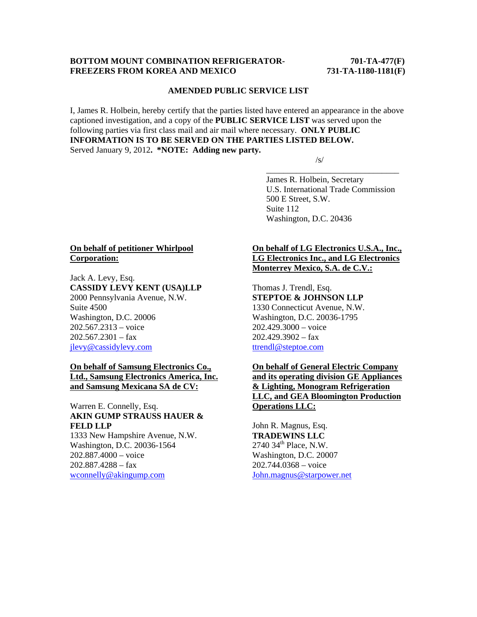#### **BOTTOM MOUNT COMBINATION REFRIGERATOR-** 701-TA-477(F) **FREEZERS FROM KOREA AND MEXICO 731-TA-1180-1181(F)**

#### **AMENDED PUBLIC SERVICE LIST**

I, James R. Holbein, hereby certify that the parties listed have entered an appearance in the above captioned investigation, and a copy of the **PUBLIC SERVICE LIST** was served upon the following parties via first class mail and air mail where necessary. **ONLY PUBLIC INFORMATION IS TO BE SERVED ON THE PARTIES LISTED BELOW.**  Served January 9, 2012**. \*NOTE: Adding new party.** 

 $\overline{\phantom{a}}$  , and the contract of the contract of the contract of the contract of the contract of the contract of the contract of the contract of the contract of the contract of the contract of the contract of the contrac

 $\sqrt{s}$ /s/

 James R. Holbein, Secretary U.S. International Trade Commission 500 E Street, S.W. Suite 112 Washington, D.C. 20436

### **On behalf of petitioner Whirlpool Corporation:**

Jack A. Levy, Esq. **CASSIDY LEVY KENT (USA)LLP**  2000 Pennsylvania Avenue, N.W. Suite 4500 Washington, D.C. 20006 202.567.2313 – voice  $202.567.2301 - fax$ jlevy@cassidylevy.com

### **On behalf of Samsung Electronics Co., Ltd., Samsung Electronics America, Inc. and Samsung Mexicana SA de CV:**

# Warren E. Connelly, Esq. **AKIN GUMP STRAUSS HAUER & FELD LLP**

1333 New Hampshire Avenue, N.W. Washington, D.C. 20036-1564 202.887.4000 – voice 202.887.4288 – fax wconnelly@akingump.com

# **On behalf of LG Electronics U.S.A., Inc., LG Electronics Inc., and LG Electronics Monterrey Mexico, S.A. de C.V.:**

Thomas J. Trendl, Esq. **STEPTOE & JOHNSON LLP** 1330 Connecticut Avenue, N.W. Washington, D.C. 20036-1795 202.429.3000 – voice  $202.429.3902 - fax$ ttrendl@steptoe.com

# **On behalf of General Electric Company and its operating division GE Appliances & Lighting, Monogram Refrigeration LLC, and GEA Bloomington Production Operations LLC:**

John R. Magnus, Esq. **TRADEWINS LLC**  $2740$  34<sup>th</sup> Place, N.W. Washington, D.C. 20007 202.744.0368 – voice John.magnus@starpower.net